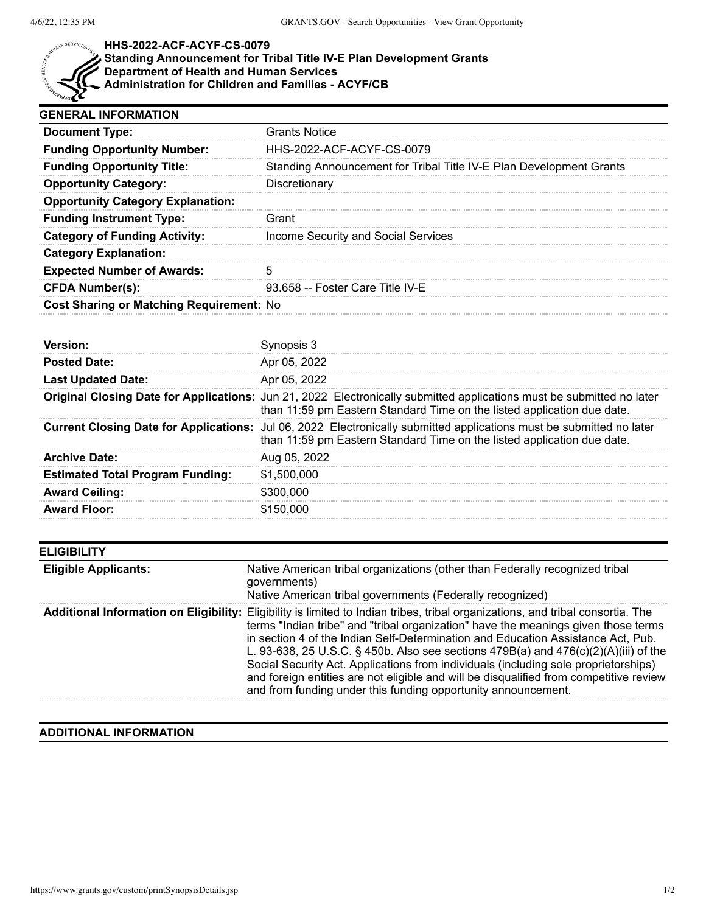

## **HHS-2022-ACF-ACYF-CS-0079 Standing Announcement for Tribal Title IV-E Plan Development Grants Department of Health and Human Services**

**Administration for Children and Families - ACYF/CB**

| <b>GENERAL INFORMATION</b>                                          |  |  |
|---------------------------------------------------------------------|--|--|
| <b>Grants Notice</b>                                                |  |  |
| HHS-2022-ACF-ACYF-CS-0079                                           |  |  |
| Standing Announcement for Tribal Title IV-E Plan Development Grants |  |  |
| Discretionary                                                       |  |  |
|                                                                     |  |  |
| Grant                                                               |  |  |
| Income Security and Social Services                                 |  |  |
|                                                                     |  |  |
|                                                                     |  |  |
| 93.658 -- Foster Care Title IV-E                                    |  |  |
| <b>Cost Sharing or Matching Requirement: No</b>                     |  |  |
|                                                                     |  |  |

| <b>Posted Date:</b>                     | Apr 05, 2022                                                                                                                                                                                           |
|-----------------------------------------|--------------------------------------------------------------------------------------------------------------------------------------------------------------------------------------------------------|
| <b>Last Updated Date:</b>               | Apr 05, 2022                                                                                                                                                                                           |
|                                         | Original Closing Date for Applications: Jun 21, 2022 Electronically submitted applications must be submitted no later<br>than 11:59 pm Eastern Standard Time on the listed application due date.       |
|                                         | <b>Current Closing Date for Applications:</b> Jul 06, 2022 Electronically submitted applications must be submitted no later<br>than 11:59 pm Eastern Standard Time on the listed application due date. |
| <b>Archive Date:</b>                    | Aug 05, 2022                                                                                                                                                                                           |
| <b>Estimated Total Program Funding:</b> | \$1,500,000                                                                                                                                                                                            |
| <b>Award Ceiling:</b>                   | \$300.000                                                                                                                                                                                              |
| <b>Award Floor:</b>                     | \$150,000                                                                                                                                                                                              |

| <b>ELIGIBILITY</b>          |                                                                                                                                                                                                                                                                                                                                                                                                                                                                                                                                                                                                                                                    |
|-----------------------------|----------------------------------------------------------------------------------------------------------------------------------------------------------------------------------------------------------------------------------------------------------------------------------------------------------------------------------------------------------------------------------------------------------------------------------------------------------------------------------------------------------------------------------------------------------------------------------------------------------------------------------------------------|
| <b>Eligible Applicants:</b> | Native American tribal organizations (other than Federally recognized tribal<br>governments)<br>Native American tribal governments (Federally recognized)                                                                                                                                                                                                                                                                                                                                                                                                                                                                                          |
|                             | Additional Information on Eligibility: Eligibility is limited to Indian tribes, tribal organizations, and tribal consortia. The<br>terms "Indian tribe" and "tribal organization" have the meanings given those terms<br>in section 4 of the Indian Self-Determination and Education Assistance Act, Pub.<br>L. 93-638, 25 U.S.C. § 450b. Also see sections 479B(a) and 476(c)(2)(A)(iii) of the<br>Social Security Act. Applications from individuals (including sole proprietorships)<br>and foreign entities are not eligible and will be disqualified from competitive review<br>and from funding under this funding opportunity announcement. |

## **ADDITIONAL INFORMATION**